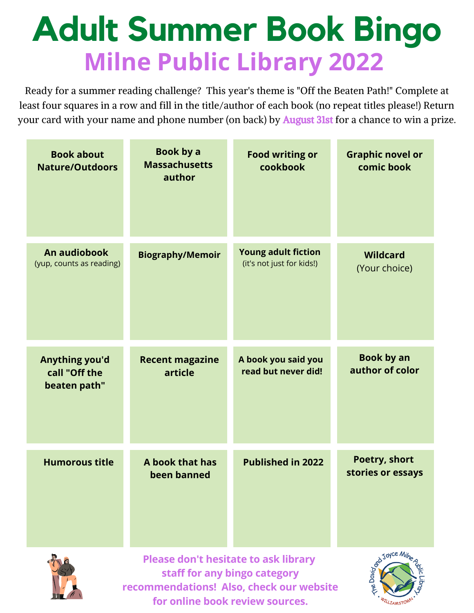# **Adult Summer Book Bingo Milne Public Library 2022**

Ready for a summer reading challenge? This year's theme is "Off the Beaten Path!" Complete at least four squares in a row and fill in the title/author of each book (no repeat titles please!) Return your card with your name and phone number (on back) by **August 31st** for a chance to win a prize.

| <b>Book about</b><br><b>Nature/Outdoors</b>     | Book by a<br><b>Massachusetts</b><br>author | <b>Food writing or</b><br>cookbook                                       | <b>Graphic novel or</b><br>comic book |
|-------------------------------------------------|---------------------------------------------|--------------------------------------------------------------------------|---------------------------------------|
| An audiobook<br>(yup, counts as reading)        | <b>Biography/Memoir</b>                     | <b>Young adult fiction</b><br>(it's not just for kids!)                  | <b>Wildcard</b><br>(Your choice)      |
| Anything you'd<br>call "Off the<br>beaten path" | <b>Recent magazine</b><br>article           | A book you said you<br>read but never did!                               | <b>Book by an</b><br>author of color  |
| <b>Humorous title</b>                           | A book that has<br>been banned              | <b>Published in 2022</b>                                                 | Poetry, short<br>stories or essays    |
|                                                 | <b>Please don't hesitate to ask library</b> | staff for any bingo category<br>recommendations! Also, check our website | Red Joyce Milha                       |

**for online book review sources.**